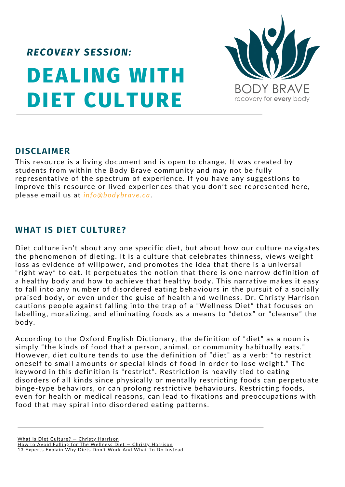# **DEALING WITH DIET CULTURE** *RECOVERY SESSION:*



#### **DISCLAIMER**

This resource is a living document and is open to change. It was created by students from within the Body Brave community and may not be fully representative of the spectrum of experience. If you have any suggestions to improve this resource or lived experiences that you don't see represented here, please email us at *info@bodybrave.ca*.

#### **WHAT IS DIET CULTURE?**

Diet culture isn't about any one specific diet, but about how our culture navigates the phenomenon of dieting. It is a culture that celebrates thinness, views weight loss as evidence of willpower, and promotes the idea that there is a universal "right way" to eat. It perpetuates the notion that there is one narrow definition of a healthy body and how to achieve that healthy body. This narrative makes it easy to fall into any number of disordered eating behaviours in the pursuit of a socially praised body, or even under the guise of health and wellness. Dr. Christy Harrison cautions people against falling into the trap of a "Wellness Diet" that focuses on labelling, moralizing, and eliminating foods as a means to "detox" or "cleanse" the body.

According to the Oxford English Dictionary, the definition of "diet" as a noun is simply "the kinds of food that a person, animal, or community habitually eats." However, diet culture tends to use the definition of "diet" as a verb: "to restrict oneself to small amounts or special kinds of food in order to lose weight." The keyword in this definition is "restrict". Restriction is heavily tied to eating disorders of all kinds since physically or mentally restricting foods can perpetuate binge-type behaviors, or can prolong restrictive behaviours. Restricting foods, even for health or medical reasons, can lead to fixations and preoccupations with food that may spiral into disordered eating patterns.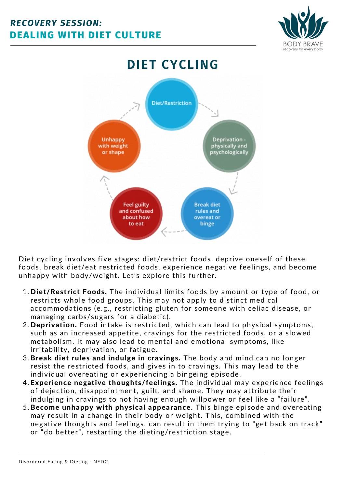



Diet cycling involves five stages: diet/restrict foods, deprive oneself of these foods, break diet/eat restricted foods, experience negative feelings, and become unhappy with body/weight. Let's explore this further.

- 1. Diet/Restrict Foods. The individual limits foods by amount or type of food, or restricts whole food groups. This may not apply to distinct medical accommodations (e.g., restricting gluten for someone with celiac disease, or managing carbs/sugars for a diabetic).
- 2. Deprivation. Food intake is restricted, which can lead to physical symptoms, such as an increased appetite, cravings for the restricted foods, or a slowed metabolism. It may also lead to mental and emotional symptoms, like irritability, deprivation, or fatigue.
- 3. Break diet rules and indulge in cravings. The body and mind can no longer resist the restricted foods, and gives in to cravings. This may lead to the individual overeating or experiencing a bingeing episode.
- 4. Experience negative thoughts/feelings. The individual may experience feelings of dejection, disappointment, guilt, and shame. They may attribute their indulging in cravings to not having enough willpower or feel like a "failure".
- 5. Become unhappy with physical appearance. This binge episode and overeating may result in a change in their body or weight. This, combined with the negative thoughts and feelings, can result in them trying to "get back on track" or "do better", restarting the dieting/restriction stage.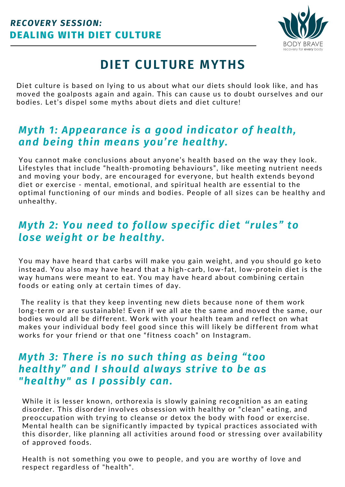

# **DIET CULTURE MYTHS**

Diet culture is based on lying to us about what our diets should look like, and has moved the goalposts again and again. This can cause us to doubt ourselves and our bodies. Let's dispel some myths about diets and diet culture!

# *Myth 1: Appearance is a good indicator of health, and being thin means you're healthy.*

You cannot make conclusions about anyone's health based on the way they look. Lifestyles that include "health-promoting behaviours", like meeting nutrient needs and moving your body, are encouraged for everyone, but health extends beyond diet or exercise - mental, emotional, and spiritual health are essential to the optimal functioning of our minds and bodies. People of all sizes can be healthy and unhealthy.

# *Myth 2: You need to follow specific diet "rules" to lose weight or be healthy.*

You may have heard that carbs will make you gain weight, and you should go keto instead. You also may have heard that a high-carb, low-fat, low-protein diet is the way humans were meant to eat. You may have heard about combining certain foods or eating only at certain times of day.

The reality is that they keep inventing new diets because none of them work long-term or are sustainable! Even if we all ate the same and moved the same, our bodies would all be different. Work with your health team and reflect on what makes your individual body feel good since this will likely be different from what works for your friend or that one "fitness coach" on Instagram.

### *Myth 3: There is no such thing as being "too healthy" and I should always strive to be as "healthy" as I possibly can.*

While it is lesser known, orthorexia is slowly gaining recognition as an eating disorder. This disorder involves obsession with healthy or "clean" eating, and preoccupation with trying to cleanse or detox the body with food or exercise. Mental health can be significantly impacted by typical practices associated with this disorder, like planning all activities around food or stressing over availability of approved foods.

Health is not something you owe to people, and you are worthy of love and respect regardless of "health".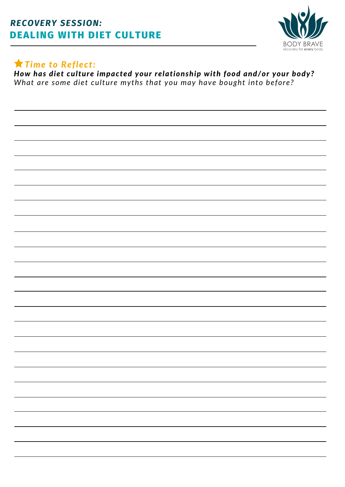### **DEALING WITH DIET CULTURE** *RECOVERY SESSION:*



### *Time to Reflect:*

*How has diet culture impacted your relationship with food and/or your body? What are some diet culture myths that you may have bought into before?*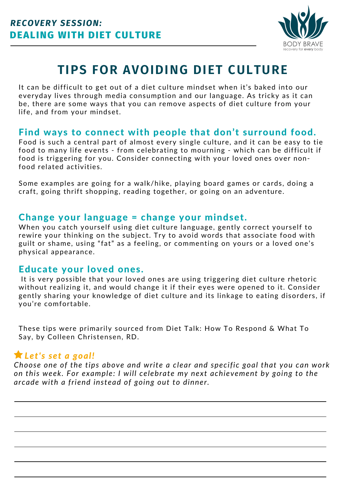

# **TIPS FOR AVOIDING DIET CULTURE**

It can be difficult to get out of a diet culture mindset when it's baked into our everyday lives through media consumption and our language. As tricky as it can be, there are some ways that you can remove aspects of diet culture from your life, and from your mindset.

#### Find ways to connect with people that don't surround food.

Food is such a central part of almost every single culture, and it can be easy to tie food to many life events - from celebrating to mourning - which can be difficult if food is triggering for you. Consider connecting with your loved ones over nonfood related activities.

Some examples are going for a walk/hike, playing board games or cards, doing a craft, going thrift shopping, reading together, or going on an adventure.

#### Change your language = change your mindset.

When you catch yourself using diet culture language, gently correct yourself to rewire your thinking on the subject. Try to avoid words that associate food with guilt or shame, using "fat" as a feeling, or commenting on yours or a loved one's physical appearance.

#### Educate your loved ones.

It is very possible that your loved ones are using triggering diet culture rhetoric without realizing it, and would change it if their eyes were opened to it. Consider gently sharing your knowledge of diet culture and its linkage to eating disorders, if you're comfortable.

These tips were primarily sourced from Diet Talk: How To Respond & What To Say, by Colleen [Christensen,](https://colleenchristensennutrition.com/diet-talk-how-to-respond-what-to-say/) RD.

#### *Let's set a goal!*

*Choose one of the tips above and write a clear and specific goal that you can work on this week. For example: I will celebrate my next achievement by going to the arcade with a friend instead of going out to dinner.*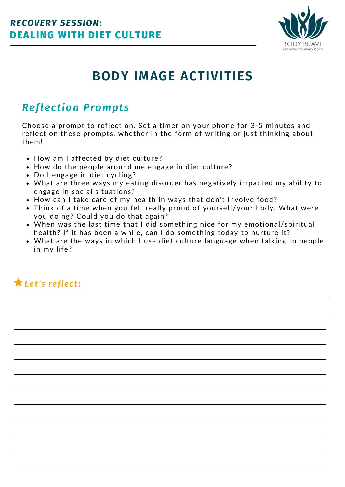

# **BODY IMAGE ACTIVITIES**

# *Reflection Prompts*

Choose a prompt to reflect on. Set a timer on your phone for 3-5 minutes and reflect on these prompts, whether in the form of writing or just thinking about them!

- How am I affected by diet culture?
- How do the people around me engage in diet culture?
- Do I engage in diet cycling?
- What are three ways my eating disorder has negatively impacted my ability to engage in social situations?
- How can I take care of my health in ways that don't involve food?
- Think of a time when you felt really proud of yourself/your body. What were you doing? Could you do that again?
- When was the last time that I did something nice for my emotional/spiritual health? If it has been a while, can I do something today to nurture it?
- What are the ways in which I use diet culture language when talking to people in my life?

# *Let's reflect:*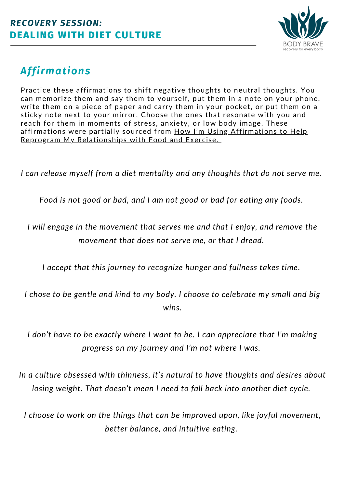

# *Affirmations*

Practice these affirmations to shift negative thoughts to neutral thoughts. You can memorize them and say them to yourself, put them in a note on your phone, write them on a piece of paper and carry them in your pocket, or put them on a sticky note next to your mirror. Choose the ones that resonate with you and reach for them in moments of stress, anxiety, or low body image. These affirmations were partially sourced from How I'm Using Affirmations to Help Reprogram My [Relationships](https://medium.com/honestly-yours/how-im-using-affirmations-to-help-reprogram-my-relationships-with-food-and-exercise-957173a72de7) with Food and Exercise.

*I can release myself from a diet mentality and any thoughts that do not serve me.*

*Food is not good or bad, and I am not good or bad for eating any foods.*

*I will engage in the movement that serves me and that I enjoy, and remove the movement that does not serve me, or that I dread.*

*I accept that this journey to recognize hunger and fullness takes time.*

*I chose to be gentle and kind to my body. I choose to celebrate my small and big wins.*

*I don't have to be exactly where I want to be. I can appreciate that I'm making progress on my journey and I'm not where I was.*

*In a culture obsessed with thinness, it's natural to have thoughts and desires about losing weight. That doesn't mean I need to fall back into another diet cycle.*

*I choose to work on the things that can be improved upon, like joyful movement, better balance, and intuitive eating.*